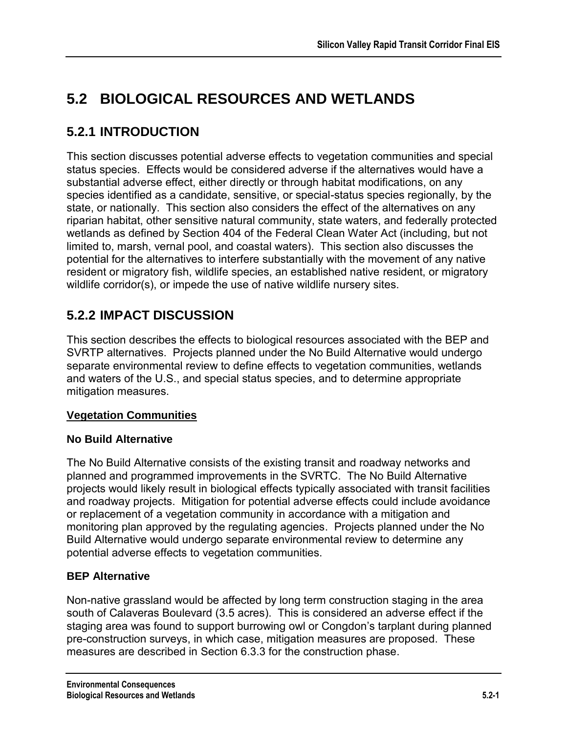# **5.2 BIOLOGICAL RESOURCES AND WETLANDS**

# **5.2.1 INTRODUCTION**

This section discusses potential adverse effects to vegetation communities and special status species. Effects would be considered adverse if the alternatives would have a substantial adverse effect, either directly or through habitat modifications, on any species identified as a candidate, sensitive, or special-status species regionally, by the state, or nationally. This section also considers the effect of the alternatives on any riparian habitat, other sensitive natural community, state waters, and federally protected wetlands as defined by Section 404 of the Federal Clean Water Act (including, but not limited to, marsh, vernal pool, and coastal waters). This section also discusses the potential for the alternatives to interfere substantially with the movement of any native resident or migratory fish, wildlife species, an established native resident, or migratory wildlife corridor(s), or impede the use of native wildlife nursery sites.

# **5.2.2 IMPACT DISCUSSION**

This section describes the effects to biological resources associated with the BEP and SVRTP alternatives. Projects planned under the No Build Alternative would undergo separate environmental review to define effects to vegetation communities, wetlands and waters of the U.S., and special status species, and to determine appropriate mitigation measures.

### **Vegetation Communities**

### **No Build Alternative**

The No Build Alternative consists of the existing transit and roadway networks and planned and programmed improvements in the SVRTC. The No Build Alternative projects would likely result in biological effects typically associated with transit facilities and roadway projects. Mitigation for potential adverse effects could include avoidance or replacement of a vegetation community in accordance with a mitigation and monitoring plan approved by the regulating agencies. Projects planned under the No Build Alternative would undergo separate environmental review to determine any potential adverse effects to vegetation communities.

### **BEP Alternative**

Non-native grassland would be affected by long term construction staging in the area south of Calaveras Boulevard (3.5 acres). This is considered an adverse effect if the staging area was found to support burrowing owl or Congdon's tarplant during planned pre-construction surveys, in which case, mitigation measures are proposed. These measures are described in Section 6.3.3 for the construction phase.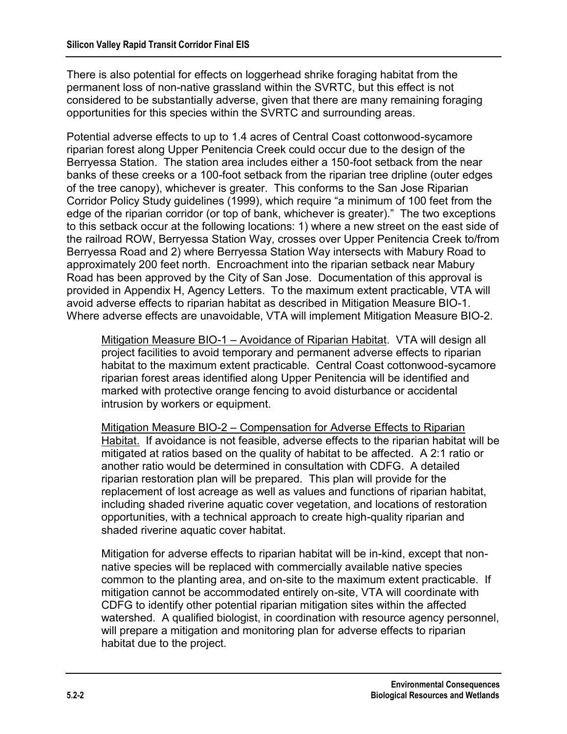There is also potential for effects on loggerhead shrike foraging habitat from the permanent loss of non-native grassland within the SVRTC, but this effect is not considered to be substantially adverse, given that there are many remaining foraging opportunities for this species within the SVRTC and surrounding areas.

Potential adverse effects to up to 1.4 acres of Central Coast cottonwood-sycamore riparian forest along Upper Penitencia Creek could occur due to the design of the Berryessa Station. The station area includes either a 150-foot setback from the near banks of these creeks or a 100-foot setback from the riparian tree dripline (outer edges of the tree canopy), whichever is greater. This conforms to the San Jose Riparian Corridor Policy Study guidelines (1999), which require "a minimum of 100 feet from the edge of the riparian corridor (or top of bank, whichever is greater)." The two exceptions to this setback occur at the following locations: 1) where a new street on the east side of the railroad ROW, Berryessa Station Way, crosses over Upper Penitencia Creek to/from Berryessa Road and 2) where Berryessa Station Way intersects with Mabury Road to approximately 200 feet north. Encroachment into the riparian setback near Mabury Road has been approved by the City of San Jose. Documentation of this approval is provided in Appendix H, Agency Letters. To the maximum extent practicable, VTA will avoid adverse effects to riparian habitat as described in Mitigation Measure BIO-1. Where adverse effects are unavoidable, VTA will implement Mitigation Measure BIO-2.

Mitigation Measure BIO-1 – Avoidance of Riparian Habitat. VTA will design all project facilities to avoid temporary and permanent adverse effects to riparian habitat to the maximum extent practicable. Central Coast cottonwood-sycamore riparian forest areas identified along Upper Penitencia will be identified and marked with protective orange fencing to avoid disturbance or accidental intrusion by workers or equipment.

Mitigation Measure BIO-2 – Compensation for Adverse Effects to Riparian Habitat. If avoidance is not feasible, adverse effects to the riparian habitat will be mitigated at ratios based on the quality of habitat to be affected. A 2:1 ratio or another ratio would be determined in consultation with CDFG. A detailed riparian restoration plan will be prepared. This plan will provide for the replacement of lost acreage as well as values and functions of riparian habitat, including shaded riverine aquatic cover vegetation, and locations of restoration opportunities, with a technical approach to create high-quality riparian and shaded riverine aquatic cover habitat.

Mitigation for adverse effects to riparian habitat will be in-kind, except that nonnative species will be replaced with commercially available native species common to the planting area, and on-site to the maximum extent practicable. If mitigation cannot be accommodated entirely on-site, VTA will coordinate with CDFG to identify other potential riparian mitigation sites within the affected watershed. A qualified biologist, in coordination with resource agency personnel, will prepare a mitigation and monitoring plan for adverse effects to riparian habitat due to the project.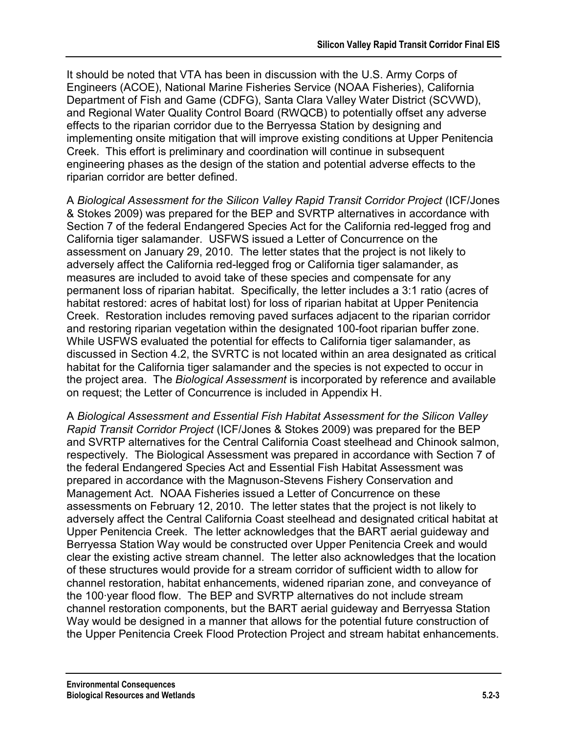It should be noted that VTA has been in discussion with the U.S. Army Corps of Engineers (ACOE), National Marine Fisheries Service (NOAA Fisheries), California Department of Fish and Game (CDFG), Santa Clara Valley Water District (SCVWD), and Regional Water Quality Control Board (RWQCB) to potentially offset any adverse effects to the riparian corridor due to the Berryessa Station by designing and implementing onsite mitigation that will improve existing conditions at Upper Penitencia Creek. This effort is preliminary and coordination will continue in subsequent engineering phases as the design of the station and potential adverse effects to the riparian corridor are better defined.

A *Biological Assessment for the Silicon Valley Rapid Transit Corridor Project* (ICF/Jones & Stokes 2009) was prepared for the BEP and SVRTP alternatives in accordance with Section 7 of the federal Endangered Species Act for the California red-legged frog and California tiger salamander. USFWS issued a Letter of Concurrence on the assessment on January 29, 2010. The letter states that the project is not likely to adversely affect the California red-legged frog or California tiger salamander, as measures are included to avoid take of these species and compensate for any permanent loss of riparian habitat. Specifically, the letter includes a 3:1 ratio (acres of habitat restored: acres of habitat lost) for loss of riparian habitat at Upper Penitencia Creek. Restoration includes removing paved surfaces adjacent to the riparian corridor and restoring riparian vegetation within the designated 100-foot riparian buffer zone. While USFWS evaluated the potential for effects to California tiger salamander, as discussed in Section 4.2, the SVRTC is not located within an area designated as critical habitat for the California tiger salamander and the species is not expected to occur in the project area. The *Biological Assessment* is incorporated by reference and available on request; the Letter of Concurrence is included in Appendix H.

A *Biological Assessment and Essential Fish Habitat Assessment for the Silicon Valley Rapid Transit Corridor Project* (ICF/Jones & Stokes 2009) was prepared for the BEP and SVRTP alternatives for the Central California Coast steelhead and Chinook salmon, respectively. The Biological Assessment was prepared in accordance with Section 7 of the federal Endangered Species Act and Essential Fish Habitat Assessment was prepared in accordance with the Magnuson-Stevens Fishery Conservation and Management Act. NOAA Fisheries issued a Letter of Concurrence on these assessments on February 12, 2010. The letter states that the project is not likely to adversely affect the Central California Coast steelhead and designated critical habitat at Upper Penitencia Creek. The letter acknowledges that the BART aerial guideway and Berryessa Station Way would be constructed over Upper Penitencia Creek and would clear the existing active stream channel. The letter also acknowledges that the location of these structures would provide for a stream corridor of sufficient width to allow for channel restoration, habitat enhancements, widened riparian zone, and conveyance of the 100·year flood flow. The BEP and SVRTP alternatives do not include stream channel restoration components, but the BART aerial guideway and Berryessa Station Way would be designed in a manner that allows for the potential future construction of the Upper Penitencia Creek Flood Protection Project and stream habitat enhancements.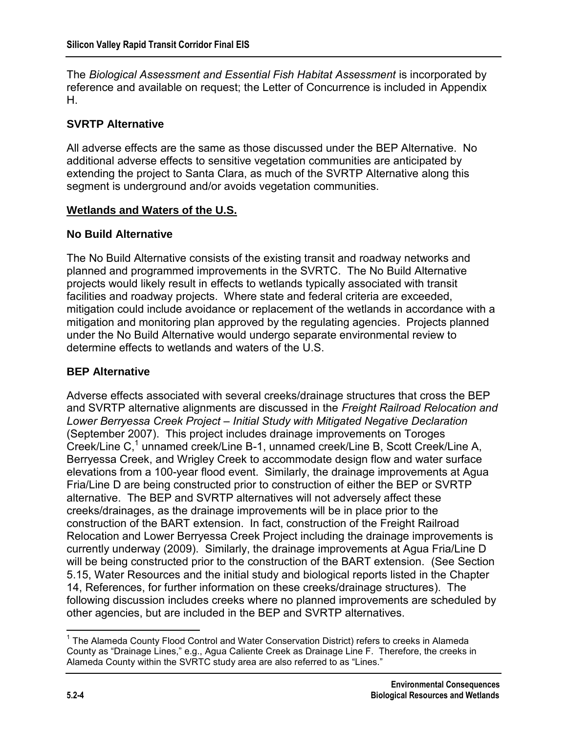The *Biological Assessment and Essential Fish Habitat Assessment* is incorporated by reference and available on request; the Letter of Concurrence is included in Appendix H.

#### **SVRTP Alternative**

All adverse effects are the same as those discussed under the BEP Alternative. No additional adverse effects to sensitive vegetation communities are anticipated by extending the project to Santa Clara, as much of the SVRTP Alternative along this segment is underground and/or avoids vegetation communities.

#### **Wetlands and Waters of the U.S.**

#### **No Build Alternative**

The No Build Alternative consists of the existing transit and roadway networks and planned and programmed improvements in the SVRTC. The No Build Alternative projects would likely result in effects to wetlands typically associated with transit facilities and roadway projects. Where state and federal criteria are exceeded, mitigation could include avoidance or replacement of the wetlands in accordance with a mitigation and monitoring plan approved by the regulating agencies. Projects planned under the No Build Alternative would undergo separate environmental review to determine effects to wetlands and waters of the U.S.

#### **BEP Alternative**

Adverse effects associated with several creeks/drainage structures that cross the BEP and SVRTP alternative alignments are discussed in the *Freight Railroad Relocation and Lower Berryessa Creek Project – Initial Study with Mitigated Negative Declaration* (September 2007). This project includes drainage improvements on Toroges Creek/Line C,<sup>1</sup> unnamed creek/Line B-1, unnamed creek/Line B, Scott Creek/Line A, Berryessa Creek, and Wrigley Creek to accommodate design flow and water surface elevations from a 100-year flood event. Similarly, the drainage improvements at Agua Fria/Line D are being constructed prior to construction of either the BEP or SVRTP alternative. The BEP and SVRTP alternatives will not adversely affect these creeks/drainages, as the drainage improvements will be in place prior to the construction of the BART extension. In fact, construction of the Freight Railroad Relocation and Lower Berryessa Creek Project including the drainage improvements is currently underway (2009). Similarly, the drainage improvements at Agua Fria/Line D will be being constructed prior to the construction of the BART extension. (See Section 5.15, Water Resources and the initial study and biological reports listed in the Chapter 14, References, for further information on these creeks/drainage structures). The following discussion includes creeks where no planned improvements are scheduled by other agencies, but are included in the BEP and SVRTP alternatives.

 $\overline{a}$ <sup>1</sup> The Alameda County Flood Control and Water Conservation District) refers to creeks in Alameda County as "Drainage Lines," e.g., Agua Caliente Creek as Drainage Line F. Therefore, the creeks in Alameda County within the SVRTC study area are also referred to as "Lines."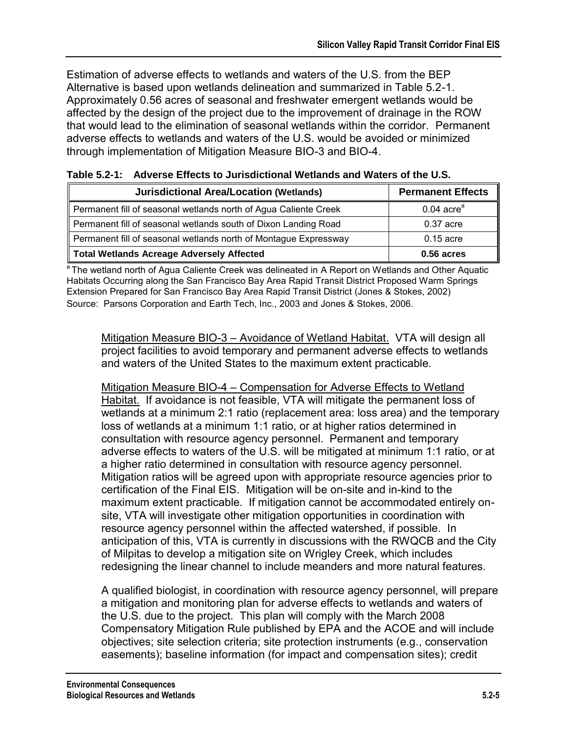Estimation of adverse effects to wetlands and waters of the U.S. from the BEP Alternative is based upon wetlands delineation and summarized in Table 5.2-1. Approximately 0.56 acres of seasonal and freshwater emergent wetlands would be affected by the design of the project due to the improvement of drainage in the ROW that would lead to the elimination of seasonal wetlands within the corridor. Permanent adverse effects to wetlands and waters of the U.S. would be avoided or minimized through implementation of Mitigation Measure BIO-3 and BIO-4.

| <b>Jurisdictional Area/Location (Wetlands)</b>                   | <b>Permanent Effects</b> |
|------------------------------------------------------------------|--------------------------|
| Permanent fill of seasonal wetlands north of Agua Caliente Creek | $0.04$ acre <sup>a</sup> |
| Permanent fill of seasonal wetlands south of Dixon Landing Road  | $0.37$ acre              |
| Permanent fill of seasonal wetlands north of Montague Expressway | $0.15$ acre              |
| Total Wetlands Acreage Adversely Affected                        | $0.56$ acres             |

| Table 5.2-1: Adverse Effects to Jurisdictional Wetlands and Waters of the U.S. |
|--------------------------------------------------------------------------------|
|                                                                                |

<sup>a</sup> The wetland north of Agua Caliente Creek was delineated in A Report on Wetlands and Other Aquatic Habitats Occurring along the San Francisco Bay Area Rapid Transit District Proposed Warm Springs Extension Prepared for San Francisco Bay Area Rapid Transit District (Jones & Stokes, 2002) Source: Parsons Corporation and Earth Tech, Inc., 2003 and Jones & Stokes, 2006.

Mitigation Measure BIO-3 – Avoidance of Wetland Habitat. VTA will design all project facilities to avoid temporary and permanent adverse effects to wetlands and waters of the United States to the maximum extent practicable.

Mitigation Measure BIO-4 – Compensation for Adverse Effects to Wetland Habitat. If avoidance is not feasible, VTA will mitigate the permanent loss of wetlands at a minimum 2:1 ratio (replacement area: loss area) and the temporary loss of wetlands at a minimum 1:1 ratio, or at higher ratios determined in consultation with resource agency personnel. Permanent and temporary adverse effects to waters of the U.S. will be mitigated at minimum 1:1 ratio, or at a higher ratio determined in consultation with resource agency personnel. Mitigation ratios will be agreed upon with appropriate resource agencies prior to certification of the Final EIS. Mitigation will be on-site and in-kind to the maximum extent practicable. If mitigation cannot be accommodated entirely onsite, VTA will investigate other mitigation opportunities in coordination with resource agency personnel within the affected watershed, if possible. In anticipation of this, VTA is currently in discussions with the RWQCB and the City of Milpitas to develop a mitigation site on Wrigley Creek, which includes redesigning the linear channel to include meanders and more natural features.

A qualified biologist, in coordination with resource agency personnel, will prepare a mitigation and monitoring plan for adverse effects to wetlands and waters of the U.S. due to the project. This plan will comply with the March 2008 Compensatory Mitigation Rule published by EPA and the ACOE and will include objectives; site selection criteria; site protection instruments (e.g., conservation easements); baseline information (for impact and compensation sites); credit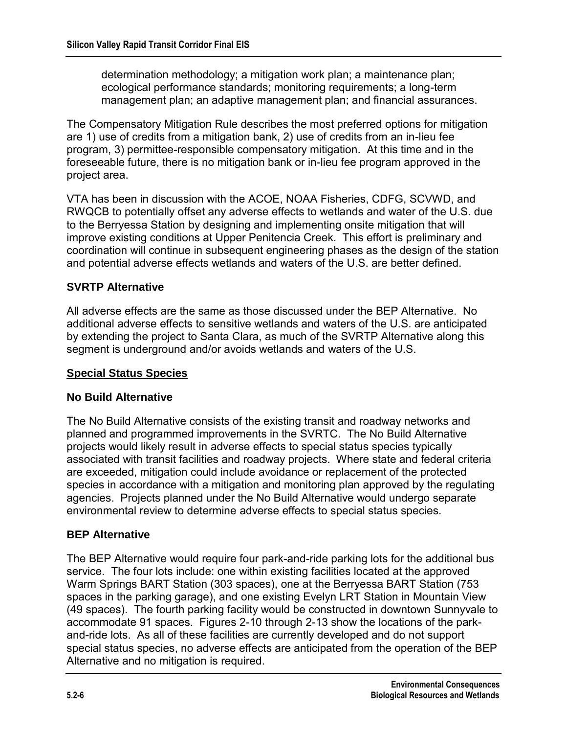determination methodology; a mitigation work plan; a maintenance plan; ecological performance standards; monitoring requirements; a long-term management plan; an adaptive management plan; and financial assurances.

The Compensatory Mitigation Rule describes the most preferred options for mitigation are 1) use of credits from a mitigation bank, 2) use of credits from an in-lieu fee program, 3) permittee-responsible compensatory mitigation. At this time and in the foreseeable future, there is no mitigation bank or in-lieu fee program approved in the project area.

VTA has been in discussion with the ACOE, NOAA Fisheries, CDFG, SCVWD, and RWQCB to potentially offset any adverse effects to wetlands and water of the U.S. due to the Berryessa Station by designing and implementing onsite mitigation that will improve existing conditions at Upper Penitencia Creek. This effort is preliminary and coordination will continue in subsequent engineering phases as the design of the station and potential adverse effects wetlands and waters of the U.S. are better defined.

#### **SVRTP Alternative**

All adverse effects are the same as those discussed under the BEP Alternative. No additional adverse effects to sensitive wetlands and waters of the U.S. are anticipated by extending the project to Santa Clara, as much of the SVRTP Alternative along this segment is underground and/or avoids wetlands and waters of the U.S.

#### **Special Status Species**

#### **No Build Alternative**

The No Build Alternative consists of the existing transit and roadway networks and planned and programmed improvements in the SVRTC. The No Build Alternative projects would likely result in adverse effects to special status species typically associated with transit facilities and roadway projects. Where state and federal criteria are exceeded, mitigation could include avoidance or replacement of the protected species in accordance with a mitigation and monitoring plan approved by the regulating agencies. Projects planned under the No Build Alternative would undergo separate environmental review to determine adverse effects to special status species.

#### **BEP Alternative**

The BEP Alternative would require four park-and-ride parking lots for the additional bus service. The four lots include: one within existing facilities located at the approved Warm Springs BART Station (303 spaces), one at the Berryessa BART Station (753 spaces in the parking garage), and one existing Evelyn LRT Station in Mountain View (49 spaces). The fourth parking facility would be constructed in downtown Sunnyvale to accommodate 91 spaces. Figures 2-10 through 2-13 show the locations of the parkand-ride lots. As all of these facilities are currently developed and do not support special status species, no adverse effects are anticipated from the operation of the BEP Alternative and no mitigation is required.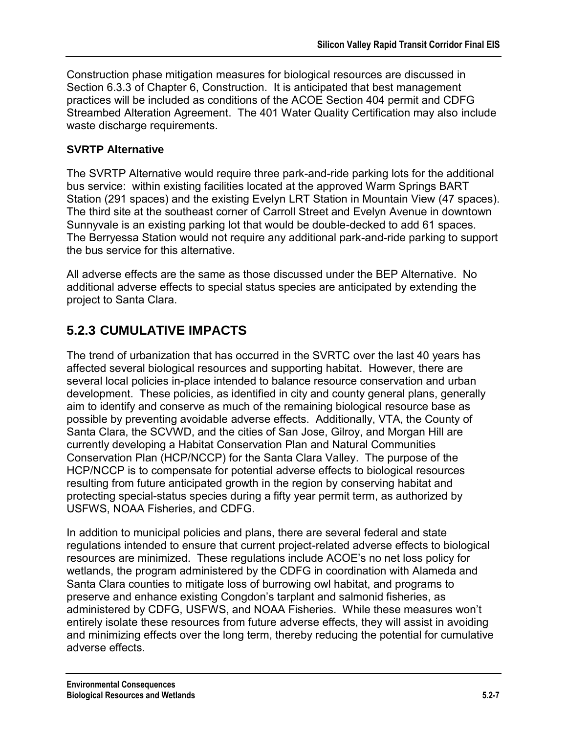Construction phase mitigation measures for biological resources are discussed in Section 6.3.3 of Chapter 6, Construction. It is anticipated that best management practices will be included as conditions of the ACOE Section 404 permit and CDFG Streambed Alteration Agreement. The 401 Water Quality Certification may also include waste discharge requirements.

#### **SVRTP Alternative**

The SVRTP Alternative would require three park-and-ride parking lots for the additional bus service: within existing facilities located at the approved Warm Springs BART Station (291 spaces) and the existing Evelyn LRT Station in Mountain View (47 spaces). The third site at the southeast corner of Carroll Street and Evelyn Avenue in downtown Sunnyvale is an existing parking lot that would be double-decked to add 61 spaces. The Berryessa Station would not require any additional park-and-ride parking to support the bus service for this alternative.

All adverse effects are the same as those discussed under the BEP Alternative. No additional adverse effects to special status species are anticipated by extending the project to Santa Clara.

## **5.2.3 CUMULATIVE IMPACTS**

The trend of urbanization that has occurred in the SVRTC over the last 40 years has affected several biological resources and supporting habitat. However, there are several local policies in-place intended to balance resource conservation and urban development. These policies, as identified in city and county general plans, generally aim to identify and conserve as much of the remaining biological resource base as possible by preventing avoidable adverse effects. Additionally, VTA, the County of Santa Clara, the SCVWD, and the cities of San Jose, Gilroy, and Morgan Hill are currently developing a Habitat Conservation Plan and Natural Communities Conservation Plan (HCP/NCCP) for the Santa Clara Valley. The purpose of the HCP/NCCP is to compensate for potential adverse effects to biological resources resulting from future anticipated growth in the region by conserving habitat and protecting special-status species during a fifty year permit term, as authorized by USFWS, NOAA Fisheries, and CDFG.

In addition to municipal policies and plans, there are several federal and state regulations intended to ensure that current project-related adverse effects to biological resources are minimized. These regulations include ACOE's no net loss policy for wetlands, the program administered by the CDFG in coordination with Alameda and Santa Clara counties to mitigate loss of burrowing owl habitat, and programs to preserve and enhance existing Congdon's tarplant and salmonid fisheries, as administered by CDFG, USFWS, and NOAA Fisheries. While these measures won't entirely isolate these resources from future adverse effects, they will assist in avoiding and minimizing effects over the long term, thereby reducing the potential for cumulative adverse effects.